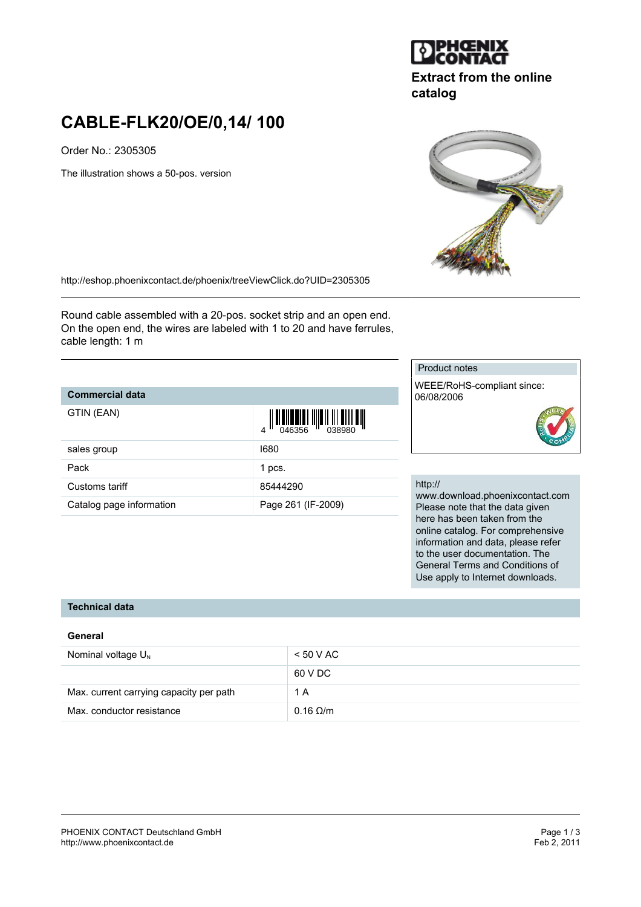

# **Extract from the online catalog**

# **CABLE-FLK20/OE/0,14/ 100**

Order No.: 2305305

The illustration shows a 50-pos. version



Round cable assembled with a 20-pos. socket strip and an open end. On the open end, the wires are labeled with 1 to 20 and have ferrules, cable length: 1 m

## **Commercial data**

| GTIN (EAN)               | $\left\  \prod_{0.46356} \right\  \left\  \prod_{0.38980} \right\  \left\  \prod_{1.453980} \right\ $<br>$\Delta$ |
|--------------------------|-------------------------------------------------------------------------------------------------------------------|
| sales group              | 1680                                                                                                              |
| Pack                     | 1 pcs.                                                                                                            |
| Customs tariff           | 85444290                                                                                                          |
| Catalog page information | Page 261 (IF-2009)                                                                                                |

#### Product notes

WEEE/RoHS-compliant since: 06/08/2006



#### http://

www.download.phoenixcontact.com Please note that the data given here has been taken from the online catalog. For comprehensive information and data, please refer to the user documentation. The General Terms and Conditions of Use apply to Internet downloads.

## **Technical data**

### **General**

| Nominal voltage $U_{N}$                 | < 50 VAC          |
|-----------------------------------------|-------------------|
|                                         | 60 V DC           |
| Max. current carrying capacity per path | 1 A               |
| Max. conductor resistance               | $0.16$ $\Omega/m$ |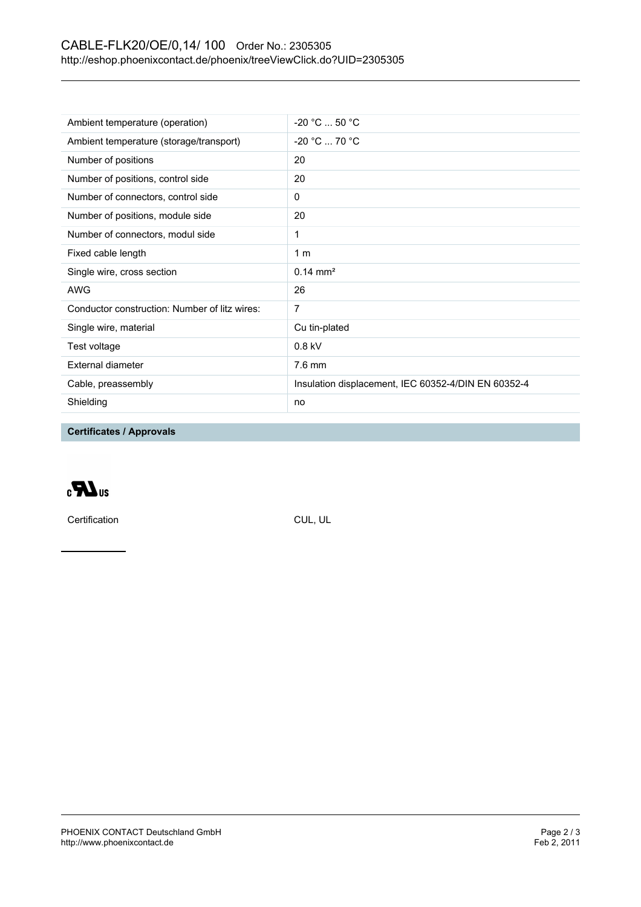## CABLE-FLK20/OE/0,14/ 100 Order No.: 2305305 <http://eshop.phoenixcontact.de/phoenix/treeViewClick.do?UID=2305305>

| Ambient temperature (operation)               | $-20 °C  50 °C$                                     |
|-----------------------------------------------|-----------------------------------------------------|
| Ambient temperature (storage/transport)       | $-20 °C  70 °C$                                     |
| Number of positions                           | 20                                                  |
| Number of positions, control side             | 20                                                  |
| Number of connectors, control side            | 0                                                   |
| Number of positions, module side              | 20                                                  |
| Number of connectors, modul side              | 1                                                   |
| Fixed cable length                            | 1 <sub>m</sub>                                      |
| Single wire, cross section                    | $0.14 \text{ mm}^2$                                 |
| <b>AWG</b>                                    | 26                                                  |
| Conductor construction: Number of litz wires: | 7                                                   |
| Single wire, material                         | Cu tin-plated                                       |
| Test voltage                                  | $0.8$ kV                                            |
| External diameter                             | $7.6 \text{ mm}$                                    |
| Cable, preassembly                            | Insulation displacement, IEC 60352-4/DIN EN 60352-4 |
| Shielding                                     | no                                                  |

**Certificates / Approvals**

 $\epsilon$ UR<sub>3</sub>

Certification CUL, UL